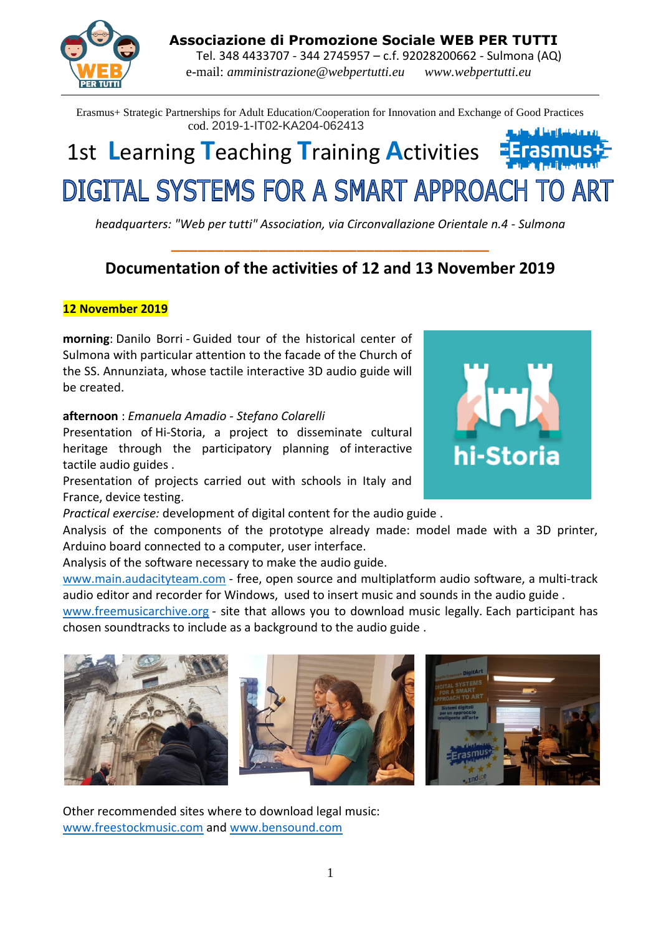**Associazione di Promozione Sociale WEB PER TUTTI**

 Tel. 348 4433707 - 344 2745957 – c.f. 92028200662 - Sulmona (AQ) e-mail: *amministrazione@webpertutti.eu www.webpertutti.eu*

Erasmus+ Strategic Partnerships for Adult Education/Cooperation for Innovation and Exchange of Good Practices cod. 2019-1-IT02-KA204-062413

# 1st **L**earning **T**eaching **T**raining **A**ctivities DIGITAL SYSTEMS FOR A SMART APPROACH TO ART

*headquarters: "Web per tutti" Association, via Circonvallazione Orientale n.4 - Sulmona* **\_\_\_\_\_\_\_\_\_\_\_\_\_\_\_\_\_\_\_\_\_\_\_\_\_\_\_\_\_\_\_\_\_\_\_\_**

# **Documentation of the activities of 12 and 13 November 2019**

## **12 November 2019**

**morning**: Danilo Borri - Guided tour of the historical center of Sulmona with particular attention to the facade of the Church of the SS. Annunziata, whose tactile interactive 3D audio guide will be created.

### **afternoon** : *Emanuela Amadio - Stefano Colarelli*

Presentation of Hi-Storia, a project to disseminate cultural heritage through the participatory planning of interactive tactile audio guides .

Presentation of projects carried out with schools in Italy and France, device testing.

*Practical exercise:* development of digital content for the audio guide .

Analysis of the components of the prototype already made: model made with a 3D printer, Arduino board connected to a computer, user interface.

Analysis of the software necessary to make the audio guide.

[www.main.audacityteam.com](https://translate.google.com/translate?hl=it&prev=_t&sl=it&tl=en&u=http://www.main.audacityteam.com) - free, open source and multiplatform audio software, a multi-track audio editor and recorder for Windows, used to insert music and sounds in the audio guide .

[www.freemusicarchive.org](https://translate.google.com/translate?hl=it&prev=_t&sl=it&tl=en&u=http://www.freemusicarchive.org) - site that allows you to download music legally. Each participant has chosen soundtracks to include as a background to the audio guide .





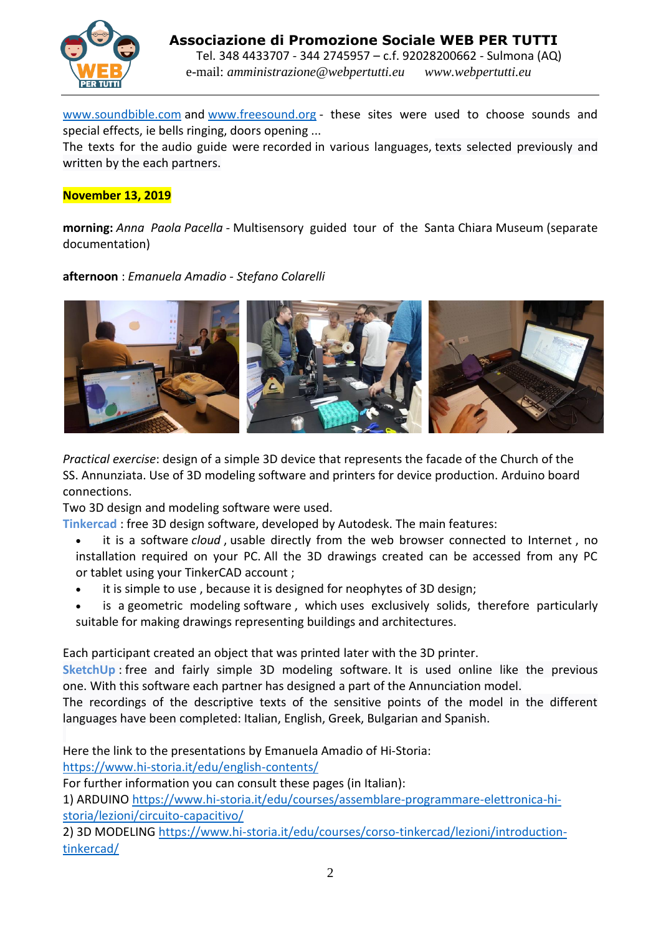

[www.soundbible.com](https://translate.google.com/translate?hl=it&prev=_t&sl=it&tl=en&u=http://www.soundbible.com) and [www.freesound.org](https://translate.google.com/translate?hl=it&prev=_t&sl=it&tl=en&u=http://www.freesound.org) - these sites were used to choose sounds and special effects, ie bells ringing, doors opening ...

The texts for the audio guide were recorded in various languages, texts selected previously and written by the each partners.

#### **November 13, 2019**

**morning:** *Anna Paola Pacella -* Multisensory guided tour of the Santa Chiara Museum (separate documentation)

**afternoon** : *Emanuela Amadio - Stefano Colarelli*



*Practical exercise*: design of a simple 3D device that represents the facade of the Church of the SS. Annunziata. Use of 3D modeling software and printers for device production. Arduino board connections.

Two 3D design and modeling software were used.

**Tinkercad** : free 3D design software, developed by Autodesk. The main features:

- it is a software *cloud* , usable directly from the web browser connected to Internet , no installation required on your PC. All the 3D drawings created can be accessed from any PC or tablet using your TinkerCAD account ;
- it is simple to use, because it is designed for neophytes of 3D design;
- is a geometric modeling software, which uses exclusively solids, therefore particularly suitable for making drawings representing buildings and architectures.

Each participant created an object that was printed later with the 3D printer.

**SketchUp** : free and fairly simple 3D modeling software. It is used online like the previous one. With this software each partner has designed a part of the Annunciation model.

The recordings of the descriptive texts of the sensitive points of the model in the different languages have been completed: Italian, English, Greek, Bulgarian and Spanish.

Here the link to the presentations by Emanuela Amadio of Hi-Storia:

[https://www.hi-storia.it/edu/english-contents/](https://translate.google.com/translate?hl=it&prev=_t&sl=it&tl=en&u=https://www.hi-storia.it/edu/english-contents/%2520)

For further information you can consult these pages (in Italian):

1) ARDUINO [https://www.hi-storia.it/edu/courses/assemblare-programmare-elettronica-hi](https://translate.google.com/translate?hl=it&prev=_t&sl=it&tl=en&u=https://www.hi-storia.it/edu/courses/assemblare-programmare-elettronica-hi-storia/lezioni/circuito-capacitivo/%2520)[storia/lezioni/circuito-capacitivo/](https://translate.google.com/translate?hl=it&prev=_t&sl=it&tl=en&u=https://www.hi-storia.it/edu/courses/assemblare-programmare-elettronica-hi-storia/lezioni/circuito-capacitivo/%2520)

2) 3D MODELING [https://www.hi-storia.it/edu/courses/corso-tinkercad/lezioni/introduction](https://translate.google.com/translate?hl=it&prev=_t&sl=it&tl=en&u=https://www.hi-storia.it/edu/courses/corso-tinkercad/lezioni/introduzione-tinkercad/%2520)[tinkercad/](https://translate.google.com/translate?hl=it&prev=_t&sl=it&tl=en&u=https://www.hi-storia.it/edu/courses/corso-tinkercad/lezioni/introduzione-tinkercad/%2520)